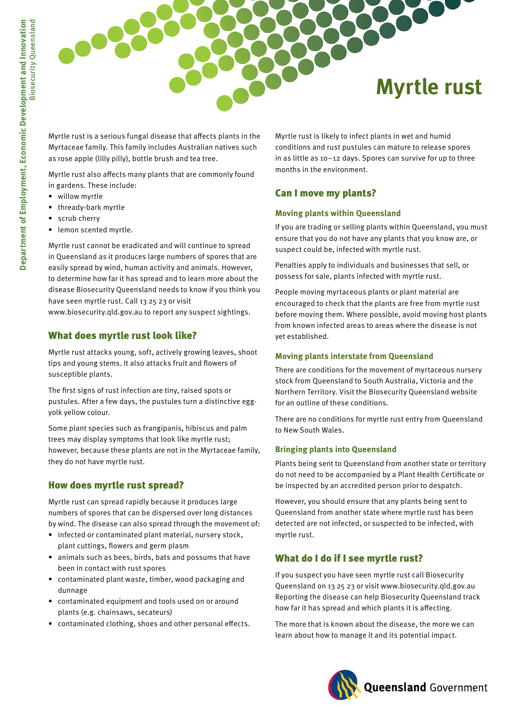

Myrtle rust is a serious fungal disease that affects plants in the Myrtaceae family. This family includes Australian natives such as rose apple (lilly pilly), bottle brush and tea tree.

Myrtle rust also affects many plants that are commonly found in gardens. These include:

- willow myrtle
- • thready-bark myrtle
- • scrub cherry
- lemon scented myrtle.

Myrtle rust cannot be eradicated and will continue to spread in Queensland as it produces large numbers of spores that are easily spread by wind, human activity and animals. However, to determine how far it has spread and to learn more about the disease Biosecurity Queensland needs to know if you think you have seen myrtle rust. Call 13 25 23 or visit

www.biosecurity.qld.gov.au to report any suspect sightings.

## What does myrtle rust look like?

Myrtle rust attacks young, soft, actively growing leaves, shoot tips and young stems. It also attacks fruit and flowers of susceptible plants.

The first signs of rust infection are tiny, raised spots or pustules. After a few days, the pustules turn a distinctive eggyolk yellow colour.

Some plant species such as frangipanis, hibiscus and palm trees may display symptoms that look like myrtle rust; however, because these plants are not in the Myrtaceae family, they do not have myrtle rust.

# How does myrtle rust spread?

Myrtle rust can spread rapidly because it produces large numbers of spores that can be dispersed over long distances by wind. The disease can also spread through the movement of:

- • infected or contaminated plant material, nursery stock, plant cuttings, flowers and germ plasm
- animals such as bees, birds, bats and possums that have been in contact with rust spores
- • contaminated plant waste, timber, wood packaging and dunnage
- • contaminated equipment and tools used on or around plants (e.g. chainsaws, secateurs)
- contaminated clothing, shoes and other personal effects.

Myrtle rust is likely to infect plants in wet and humid conditions and rust pustules can mature to release spores in as little as 10–12 days. Spores can survive for up to three months in the environment.

# Can I move my plants?

### **Moving plants within Queensland**

If you are trading or selling plants within Queensland, you must ensure that you do not have any plants that you know are, or suspect could be, infected with myrtle rust.

Penalties apply to individuals and businesses that sell, or possess for sale, plants infected with myrtle rust.

People moving myrtaceous plants or plant material are encouraged to check that the plants are free from myrtle rust before moving them. Where possible, avoid moving host plants from known infected areas to areas where the disease is not yet established.

#### **Moving plants interstate from Queensland**

There are conditions for the movement of myrtaceous nursery stock from Queensland to South Australia, Victoria and the Northern Territory. Visit the Biosecurity Queensland website for an outline of these conditions.

There are no conditions for myrtle rust entry from Queensland to New South Wales.

### **Bringing plants into Queensland**

Plants being sent to Queensland from another state or territory do not need to be accompanied by a Plant Health Certificate or be inspected by an accredited person prior to despatch.

However, you should ensure that any plants being sent to Queensland from another state where myrtle rust has been detected are not infected, or suspected to be infected, with myrtle rust.

# What do I do if I see myrtle rust?

If you suspect you have seen myrtle rust call Biosecurity Queensland on 13 25 23 or visit www.biosecurity.qld.gov.au Reporting the disease can help Biosecurity Queensland track how far it has spread and which plants it is affecting.

The more that is known about the disease, the more we can learn about how to manage it and its potential impact.